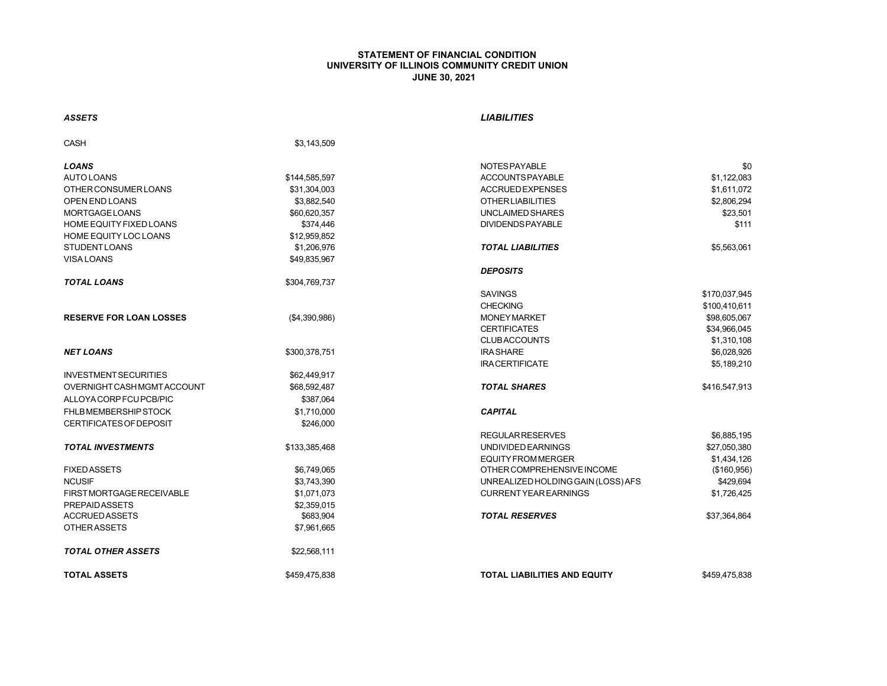## **STATEMENT OF FINANCIAL CONDITION UNIVERSITY OF ILLINOIS COMMUNITY CREDIT UNION JUNE 30, 2021**

## *ASSETS LIABILITIES*

| CASH                           | \$3,143,509   |                                     |               |
|--------------------------------|---------------|-------------------------------------|---------------|
| <b>LOANS</b>                   |               | NOTES PAYABLE                       | \$0           |
| <b>AUTO LOANS</b>              | \$144,585,597 | ACCOUNTS PAYABLE                    | \$1,122,083   |
| <b>OTHER CONSUMER LOANS</b>    | \$31,304,003  | <b>ACCRUED EXPENSES</b>             | \$1,611,072   |
| OPEN END LOANS                 | \$3,882,540   | <b>OTHERLIABILITIES</b>             | \$2,806,294   |
| <b>MORTGAGE LOANS</b>          | \$60,620,357  | UNCLAIMED SHARES                    | \$23,501      |
| HOME EQUITY FIXED LOANS        | \$374,446     | <b>DIVIDENDS PAYABLE</b>            | \$111         |
| HOME EQUITY LOC LOANS          | \$12,959,852  |                                     |               |
| <b>STUDENT LOANS</b>           | \$1,206,976   | <b>TOTAL LIABILITIES</b>            | \$5,563,061   |
| <b>VISA LOANS</b>              | \$49,835,967  |                                     |               |
|                                |               | <b>DEPOSITS</b>                     |               |
| <b>TOTAL LOANS</b>             | \$304,769,737 |                                     |               |
|                                |               | <b>SAVINGS</b>                      | \$170,037,945 |
|                                |               | <b>CHECKING</b>                     | \$100,410,611 |
| <b>RESERVE FOR LOAN LOSSES</b> | (\$4,390,986) | <b>MONEY MARKET</b>                 | \$98,605,067  |
|                                |               | <b>CERTIFICATES</b>                 | \$34,966,045  |
|                                |               | <b>CLUBACCOUNTS</b>                 | \$1,310,108   |
| <b>NET LOANS</b>               | \$300,378,751 | <b>IRA SHARE</b>                    | \$6,028,926   |
|                                |               | <b>IRACERTIFICATE</b>               | \$5,189,210   |
| <b>INVESTMENT SECURITIES</b>   | \$62,449,917  |                                     |               |
| OVERNIGHT CASH MGMT ACCOUNT    | \$68,592,487  | <b>TOTAL SHARES</b>                 | \$416,547,913 |
| ALLOYA CORP FCU PCB/PIC        | \$387,064     |                                     |               |
| FHLB MEMBERSHIP STOCK          | \$1,710,000   | <b>CAPITAL</b>                      |               |
| <b>CERTIFICATES OF DEPOSIT</b> | \$246.000     |                                     |               |
|                                |               | <b>REGULAR RESERVES</b>             | \$6,885,195   |
| <b>TOTAL INVESTMENTS</b>       | \$133,385,468 | <b>UNDIVIDED EARNINGS</b>           | \$27,050,380  |
|                                |               | <b>EQUITY FROM MERGER</b>           | \$1,434,126   |
| <b>FIXED ASSETS</b>            | \$6,749,065   | OTHER COMPREHENSIVE INCOME          | (\$160,956)   |
| <b>NCUSIF</b>                  | \$3,743,390   | UNREALIZED HOLDING GAIN (LOSS) AFS  | \$429,694     |
| FIRST MORTGAGE RECEIVABLE      | \$1,071,073   | <b>CURRENT YEAR EARNINGS</b>        | \$1,726,425   |
| <b>PREPAIDASSETS</b>           | \$2,359,015   |                                     |               |
| <b>ACCRUED ASSETS</b>          | \$683,904     | <b>TOTAL RESERVES</b>               | \$37,364,864  |
| <b>OTHERASSETS</b>             | \$7,961,665   |                                     |               |
| <b>TOTAL OTHER ASSETS</b>      | \$22,568,111  |                                     |               |
| <b>TOTAL ASSETS</b>            | \$459.475.838 | <b>TOTAL LIABILITIES AND EQUITY</b> | \$459.475.838 |